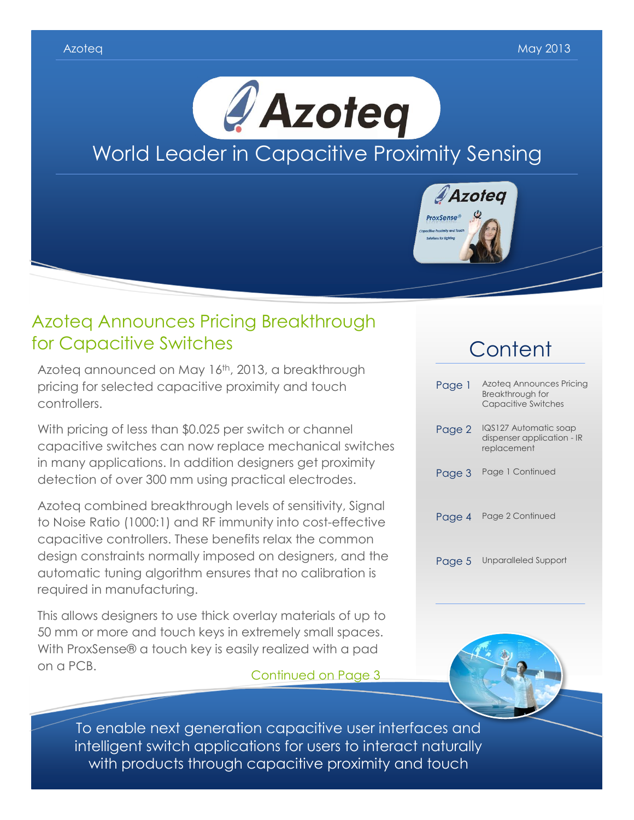

### Azoteq Announces Pricing Breakthrough for Capacitive Switches

Azoteq announced on May 16th, 2013, a breakthrough pricing for selected capacitive proximity and touch controllers.

With pricing of less than \$0.025 per switch or channel capacitive switches can now replace mechanical switches in many applications. In addition designers get proximity detection of over 300 mm using practical electrodes.

Azoteq combined breakthrough levels of sensitivity, Signal to Noise Ratio (1000:1) and RF immunity into cost-effective capacitive controllers. These benefits relax the common design constraints normally imposed on designers, and the automatic tuning algorithm ensures that no calibration is required in manufacturing.

This allows designers to use thick overlay materials of up to 50 mm or more and touch keys in extremely small spaces. With ProxSense® a touch key is easily realized with a pad on a PCB. Continued on Page 3

# **Content**

| Page 1 | Azoteg Announces Pricing<br>Breakthrough for<br><b>Capacitive Switches</b> |
|--------|----------------------------------------------------------------------------|
| Page 2 | IQS127 Automatic soap<br>dispenser application - IR<br>replacement         |
| Page 3 | Page 1 Continued                                                           |
| Page 4 | Page 2 Continued                                                           |
| Page 5 | Unparalleled Support                                                       |



To enable next generation capacitive user interfaces and intelligent switch applications for users to interact naturally with products through capacitive proximity and touch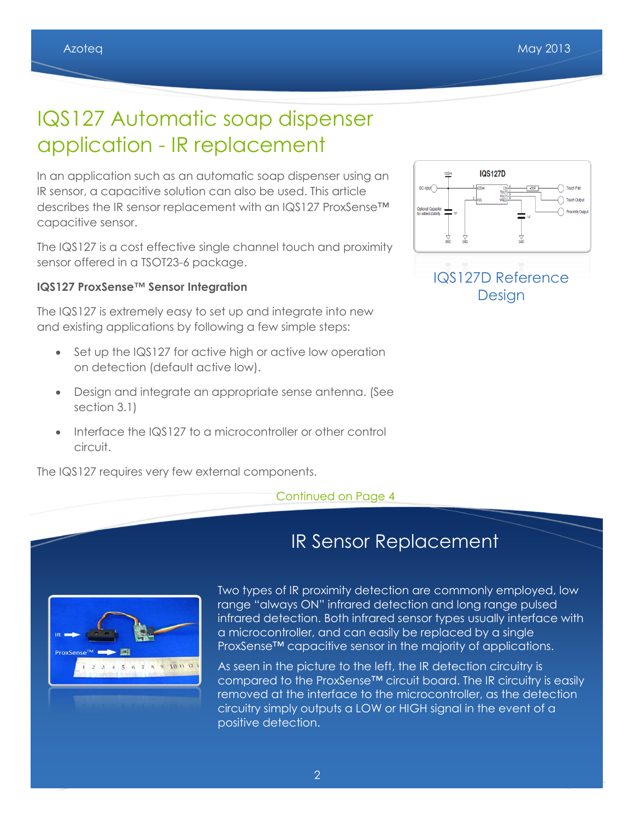# IQS127 Automatic soap dispenser application - IR replacement

In an application such as an automatic soap dispenser using an IR sensor, a capacitive solution can also be used. This article describes the IR sensor replacement with an IQS127 ProxSense™ capacitive sensor.

The IQS127 is a cost effective single channel touch and proximity sensor offered in a TSOT23-6 package.

#### **IQS127 ProxSense™ Sensor Integration**

The IQS127 is extremely easy to set up and integrate into new and existing applications by following a few simple steps:

- Set up the IQS127 for active high or active low operation on detection (default active low).
- Design and integrate an appropriate sense antenna. (See section 3.1)
- Interface the IQS127 to a microcontroller or other control circuit.

The IQS127 requires very few external components.

#### Continued on Page 4



**IQS127D** 

 $DC$  input

IR Sensor Replacement



Two types of IR proximity detection are commonly employed, low range "always ON" infrared detection and long range pulsed infrared detection. Both infrared sensor types usually interface with a microcontroller, and can easily be replaced by a single ProxSense™ capacitive sensor in the majority of applications.

As seen in the picture to the left, the IR detection circuitry is compared to the ProxSense™ circuit board. The IR circuitry is easily removed at the interface to the microcontroller, as the detection circuitry simply outputs a LOW or HIGH signal in the event of a positive detection.

#### $\tilde{z}$ 2 2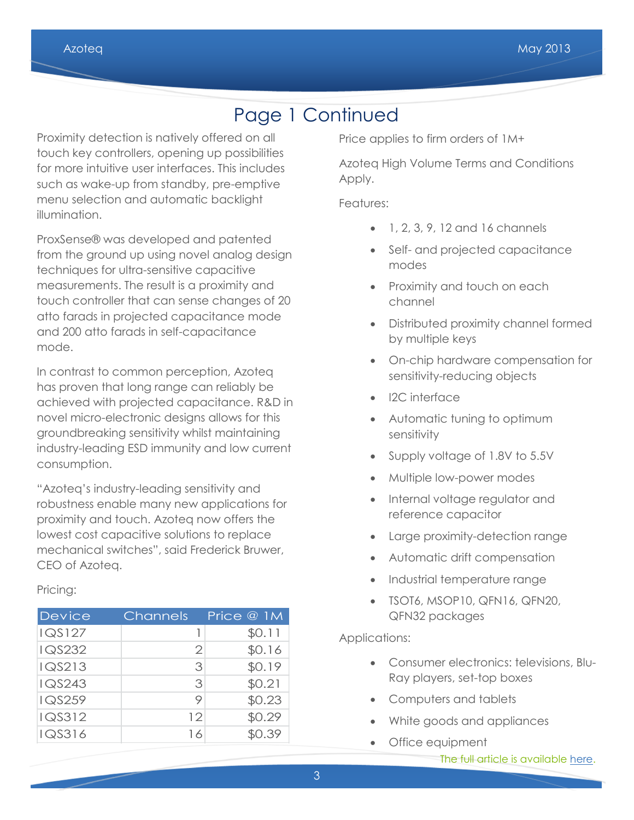## Page 1 Continued

Proximity detection is natively offered on all touch key controllers, opening up possibilities for more intuitive user interfaces. This includes such as wake-up from standby, pre-emptive menu selection and automatic backlight illumination.

ProxSense® was developed and patented from the ground up using novel analog design techniques for ultra-sensitive capacitive measurements. The result is a proximity and touch controller that can sense changes of 20 atto farads in projected capacitance mode and 200 atto farads in self-capacitance mode.

In contrast to common perception, Azoteq has proven that long range can reliably be achieved with projected capacitance. R&D in novel micro-electronic designs allows for this groundbreaking sensitivity whilst maintaining industry-leading ESD immunity and low current consumption.

"Azoteq's industry-leading sensitivity and robustness enable many new applications for proximity and touch. Azoteq now offers the lowest cost capacitive solutions to replace mechanical switches", said Frederick Bruwer, CEO of Azoteq.

Pricing:

| <b>Device</b> | Channels | Price @ 1M |
|---------------|----------|------------|
| <b>IQS127</b> |          | \$0.11     |
| IQS232        | 2        | \$0.16     |
| IQS213        | 3        | \$0.19     |
| <b>IQS243</b> | 3        | \$0.21     |
| <b>IQS259</b> | 9        | \$0.23     |
| IQS312        | 12       | \$0.29     |
| IQS316        | 16       | \$0.39     |

Price applies to firm orders of 1M+

Azoteq High Volume Terms and Conditions Apply.

Features:

- 1, 2, 3, 9, 12 and 16 channels
- Self- and projected capacitance modes
- Proximity and touch on each channel
- Distributed proximity channel formed by multiple keys
- On-chip hardware compensation for sensitivity-reducing objects
- I2C interface
- Automatic tuning to optimum sensitivity
- Supply voltage of 1.8V to 5.5V
- Multiple low-power modes
- Internal voltage regulator and reference capacitor
- Large proximity-detection range
- Automatic drift compensation
- Industrial temperature range
- TSOT6, MSOP10, QFN16, QFN20, QFN32 packages

#### Applications:

- Consumer electronics: televisions, Blu-Ray players, set-top boxes
- Computers and tablets

 $\mathcal{M}(\mathcal{M})$  is the upper standard applications of the upper standard standard standard standard standard standard standard standard standard standard standard standard standard standard standard standard standard stand

- White goods and appliances
- Office equipment

í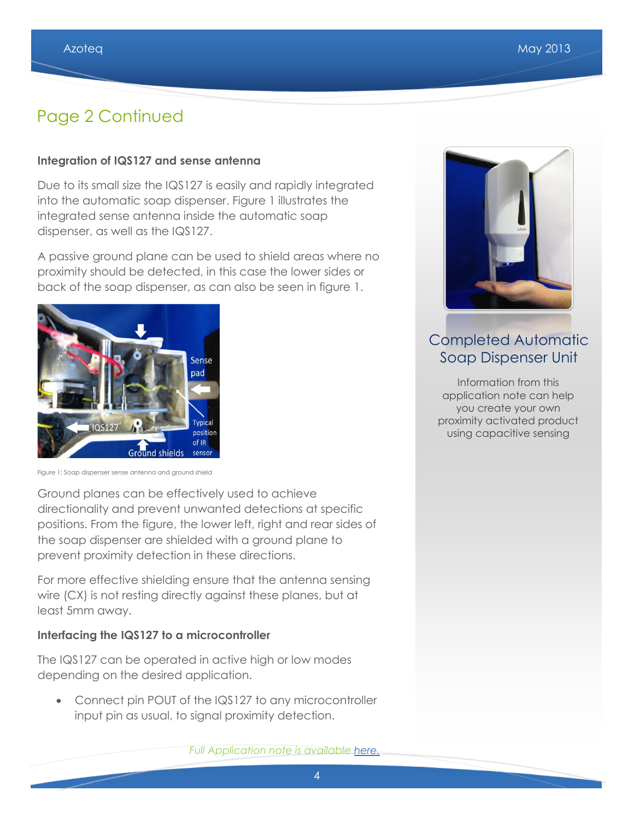### Page 2 Continued

#### **Integration of IQS127 and sense antenna**

Due to its small size the IQS127 is easily and rapidly integrated into the automatic soap dispenser. Figure 1 illustrates the integrated sense antenna inside the automatic soap dispenser, as well as the IQS127.

A passive ground plane can be used to shield areas where no proximity should be detected, in this case the lower sides or back of the soap dispenser, as can also be seen in figure 1.



Figure 1: Soap dispenser sense antenna and ground shield

Ground planes can be effectively used to achieve directionality and prevent unwanted detections at specific positions. From the figure, the lower left, right and rear sides of the soap dispenser are shielded with a ground plane to prevent proximity detection in these directions.

For more effective shielding ensure that the antenna sensing wire (CX) is not resting directly against these planes, but at least 5mm away.

#### **Interfacing the IQS127 to a microcontroller**

The IQS127 can be operated in active high or low modes depending on the desired application.

• Connect pin POUT of the IQS127 to any microcontroller input pin as usual, to signal proximity detection.



### Completed Automatic Soap Dispenser Unit

Information from this application note can help you create your own proximity activated product using capacitive sensing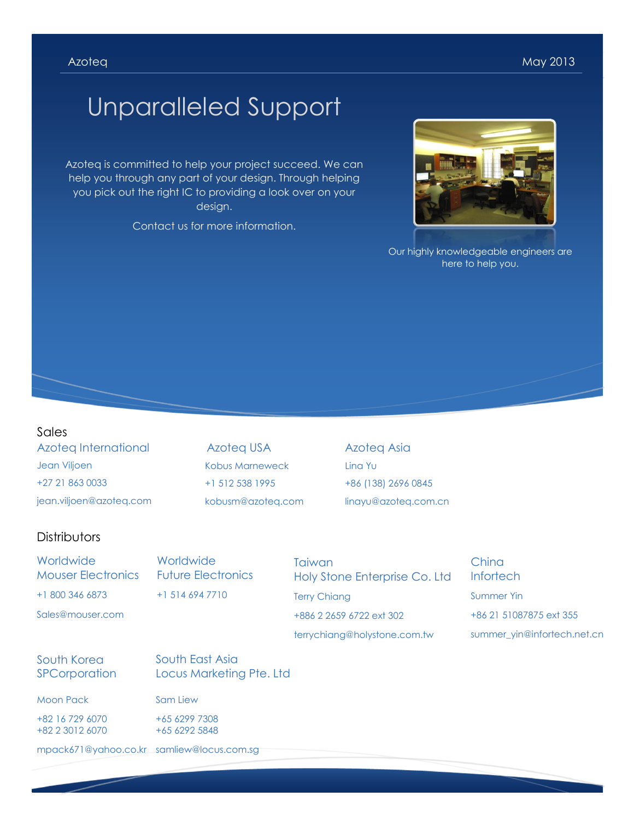# Unparalleled Support

Azoteq is committed to help your project succeed. We can help you through any part of your design. Through helping you pick out the right IC to providing a look over on your design.

Contact us for more information.



Our highly knowledgeable engineers are here to help you.

#### Sales

Azoteq International Jean Viljoen +27 21 863 0033 jean.viljoen@azoteq.com

Azoteq USA Kobus Marneweck +1 512 538 1995 kobusm@azoteq.com

Azoteq Asia Lina Yu +86 (138) 2696 0845 linayu@azoteq.com.cn

#### **Distributors**

**Worldwide** Mouser Electronics +1 800 346 6873

Sales@mouser.com

**Worldwide** Future Electronics +1 514 694 7710

**Taiwan** Holy Stone Enterprise Co. Ltd Terry Chiang +886 2 2659 6722 ext 302 terrychiang@holystone.com.tw

China **Infortech** Summer Yin +86 21 51087875 ext 355 summer\_yin@infortech.net.cn

#### South Korea **SPCorporation**

South East Asia Locus Marketing Pte. Ltd

Moon Pack

+82 16 729 6070 +82 2 3012 6070 Sam Liew +65 6299 7308 +65 6292 5848

mpack671@yahoo.co.kr samliew@locus.com.sg